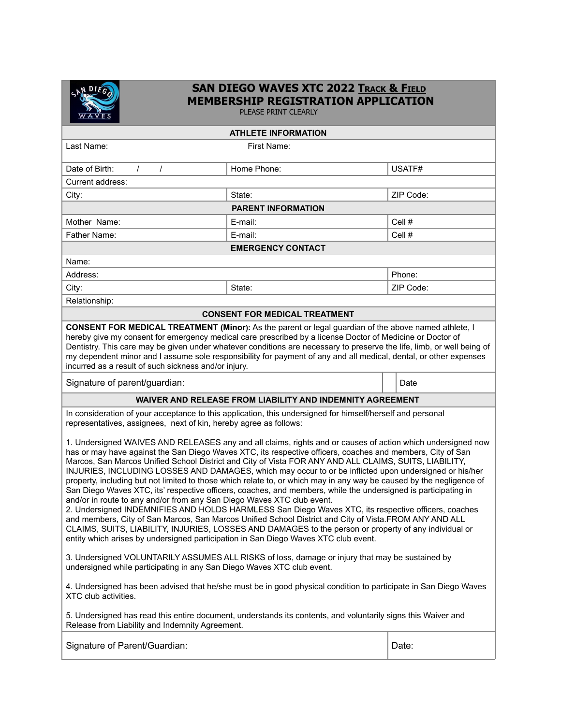

## **SAN DIEGO WAVES XTC 2022 TRACK & FIELD MEMBERSHIP REGISTRATION APPLICATION**

PLEASE PRINT CLEARLY

| <b>ATHLETE INFORMATION</b>                                                                                                                                                                                                                                                                                                                                                                                                                                                                                                                                                                                                                                                                                                                                                                                                                                                                                                                                                                                                                                                                                                                                                         |             |           |
|------------------------------------------------------------------------------------------------------------------------------------------------------------------------------------------------------------------------------------------------------------------------------------------------------------------------------------------------------------------------------------------------------------------------------------------------------------------------------------------------------------------------------------------------------------------------------------------------------------------------------------------------------------------------------------------------------------------------------------------------------------------------------------------------------------------------------------------------------------------------------------------------------------------------------------------------------------------------------------------------------------------------------------------------------------------------------------------------------------------------------------------------------------------------------------|-------------|-----------|
| Last Name:                                                                                                                                                                                                                                                                                                                                                                                                                                                                                                                                                                                                                                                                                                                                                                                                                                                                                                                                                                                                                                                                                                                                                                         | First Name: |           |
| $\prime$<br>$\prime$<br>Date of Birth:                                                                                                                                                                                                                                                                                                                                                                                                                                                                                                                                                                                                                                                                                                                                                                                                                                                                                                                                                                                                                                                                                                                                             | Home Phone: | USATF#    |
| Current address:                                                                                                                                                                                                                                                                                                                                                                                                                                                                                                                                                                                                                                                                                                                                                                                                                                                                                                                                                                                                                                                                                                                                                                   |             |           |
| City:                                                                                                                                                                                                                                                                                                                                                                                                                                                                                                                                                                                                                                                                                                                                                                                                                                                                                                                                                                                                                                                                                                                                                                              | State:      | ZIP Code: |
| <b>PARENT INFORMATION</b>                                                                                                                                                                                                                                                                                                                                                                                                                                                                                                                                                                                                                                                                                                                                                                                                                                                                                                                                                                                                                                                                                                                                                          |             |           |
| Mother Name:                                                                                                                                                                                                                                                                                                                                                                                                                                                                                                                                                                                                                                                                                                                                                                                                                                                                                                                                                                                                                                                                                                                                                                       | E-mail:     | Cell#     |
| Father Name:                                                                                                                                                                                                                                                                                                                                                                                                                                                                                                                                                                                                                                                                                                                                                                                                                                                                                                                                                                                                                                                                                                                                                                       | E-mail:     | Cell#     |
| <b>EMERGENCY CONTACT</b>                                                                                                                                                                                                                                                                                                                                                                                                                                                                                                                                                                                                                                                                                                                                                                                                                                                                                                                                                                                                                                                                                                                                                           |             |           |
| Name:                                                                                                                                                                                                                                                                                                                                                                                                                                                                                                                                                                                                                                                                                                                                                                                                                                                                                                                                                                                                                                                                                                                                                                              |             |           |
| Address:                                                                                                                                                                                                                                                                                                                                                                                                                                                                                                                                                                                                                                                                                                                                                                                                                                                                                                                                                                                                                                                                                                                                                                           |             | Phone:    |
| City:                                                                                                                                                                                                                                                                                                                                                                                                                                                                                                                                                                                                                                                                                                                                                                                                                                                                                                                                                                                                                                                                                                                                                                              | State:      | ZIP Code: |
| Relationship:                                                                                                                                                                                                                                                                                                                                                                                                                                                                                                                                                                                                                                                                                                                                                                                                                                                                                                                                                                                                                                                                                                                                                                      |             |           |
| <b>CONSENT FOR MEDICAL TREATMENT</b>                                                                                                                                                                                                                                                                                                                                                                                                                                                                                                                                                                                                                                                                                                                                                                                                                                                                                                                                                                                                                                                                                                                                               |             |           |
| CONSENT FOR MEDICAL TREATMENT (Minor): As the parent or legal guardian of the above named athlete, I<br>hereby give my consent for emergency medical care prescribed by a license Doctor of Medicine or Doctor of<br>Dentistry. This care may be given under whatever conditions are necessary to preserve the life, limb, or well being of<br>my dependent minor and I assume sole responsibility for payment of any and all medical, dental, or other expenses<br>incurred as a result of such sickness and/or injury.                                                                                                                                                                                                                                                                                                                                                                                                                                                                                                                                                                                                                                                           |             |           |
| Signature of parent/guardian:                                                                                                                                                                                                                                                                                                                                                                                                                                                                                                                                                                                                                                                                                                                                                                                                                                                                                                                                                                                                                                                                                                                                                      |             | Date      |
| <b>WAIVER AND RELEASE FROM LIABILITY AND INDEMNITY AGREEMENT</b>                                                                                                                                                                                                                                                                                                                                                                                                                                                                                                                                                                                                                                                                                                                                                                                                                                                                                                                                                                                                                                                                                                                   |             |           |
| In consideration of your acceptance to this application, this undersigned for himself/herself and personal<br>representatives, assignees, next of kin, hereby agree as follows:                                                                                                                                                                                                                                                                                                                                                                                                                                                                                                                                                                                                                                                                                                                                                                                                                                                                                                                                                                                                    |             |           |
| 1. Undersigned WAIVES AND RELEASES any and all claims, rights and or causes of action which undersigned now<br>has or may have against the San Diego Waves XTC, its respective officers, coaches and members, City of San<br>Marcos, San Marcos Unified School District and City of Vista FOR ANY AND ALL CLAIMS, SUITS, LIABILITY,<br>INJURIES, INCLUDING LOSSES AND DAMAGES, which may occur to or be inflicted upon undersigned or his/her<br>property, including but not limited to those which relate to, or which may in any way be caused by the negligence of<br>San Diego Waves XTC, its' respective officers, coaches, and members, while the undersigned is participating in<br>and/or in route to any and/or from any San Diego Waves XTC club event.<br>2. Undersigned INDEMNIFIES AND HOLDS HARMLESS San Diego Waves XTC, its respective officers, coaches<br>and members, City of San Marcos, San Marcos Unified School District and City of Vista.FROM ANY AND ALL<br>CLAIMS, SUITS, LIABILITY, INJURIES, LOSSES AND DAMAGES to the person or property of any individual or<br>entity which arises by undersigned participation in San Diego Waves XTC club event. |             |           |
| 3. Undersigned VOLUNTARILY ASSUMES ALL RISKS of loss, damage or injury that may be sustained by<br>undersigned while participating in any San Diego Waves XTC club event.<br>4. Undersigned has been advised that he/she must be in good physical condition to participate in San Diego Waves                                                                                                                                                                                                                                                                                                                                                                                                                                                                                                                                                                                                                                                                                                                                                                                                                                                                                      |             |           |
| XTC club activities.<br>5. Undersigned has read this entire document, understands its contents, and voluntarily signs this Waiver and<br>Release from Liability and Indemnity Agreement.                                                                                                                                                                                                                                                                                                                                                                                                                                                                                                                                                                                                                                                                                                                                                                                                                                                                                                                                                                                           |             |           |
| Signature of Parent/Guardian:                                                                                                                                                                                                                                                                                                                                                                                                                                                                                                                                                                                                                                                                                                                                                                                                                                                                                                                                                                                                                                                                                                                                                      |             | Date:     |